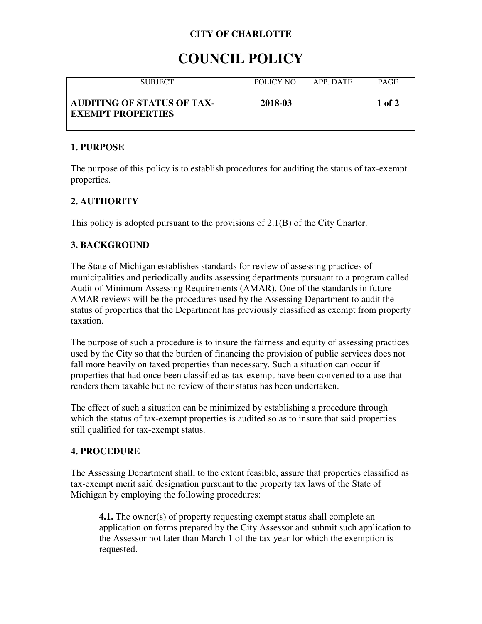## **CITY OF CHARLOTTE**

# **COUNCIL POLICY**

| <b>SUBJECT</b>                                                | POLICY NO | APP. DATE | <b>PAGE</b> |
|---------------------------------------------------------------|-----------|-----------|-------------|
| <b>AUDITING OF STATUS OF TAX-</b><br><b>EXEMPT PROPERTIES</b> | 2018-03   |           | 1 of 2      |

#### **1. PURPOSE**

The purpose of this policy is to establish procedures for auditing the status of tax-exempt properties.

## **2. AUTHORITY**

This policy is adopted pursuant to the provisions of 2.1(B) of the City Charter.

## **3. BACKGROUND**

The State of Michigan establishes standards for review of assessing practices of municipalities and periodically audits assessing departments pursuant to a program called Audit of Minimum Assessing Requirements (AMAR). One of the standards in future AMAR reviews will be the procedures used by the Assessing Department to audit the status of properties that the Department has previously classified as exempt from property taxation.

The purpose of such a procedure is to insure the fairness and equity of assessing practices used by the City so that the burden of financing the provision of public services does not fall more heavily on taxed properties than necessary. Such a situation can occur if properties that had once been classified as tax-exempt have been converted to a use that renders them taxable but no review of their status has been undertaken.

The effect of such a situation can be minimized by establishing a procedure through which the status of tax-exempt properties is audited so as to insure that said properties still qualified for tax-exempt status.

## **4. PROCEDURE**

The Assessing Department shall, to the extent feasible, assure that properties classified as tax-exempt merit said designation pursuant to the property tax laws of the State of Michigan by employing the following procedures:

**4.1.** The owner(s) of property requesting exempt status shall complete an application on forms prepared by the City Assessor and submit such application to the Assessor not later than March 1 of the tax year for which the exemption is requested.